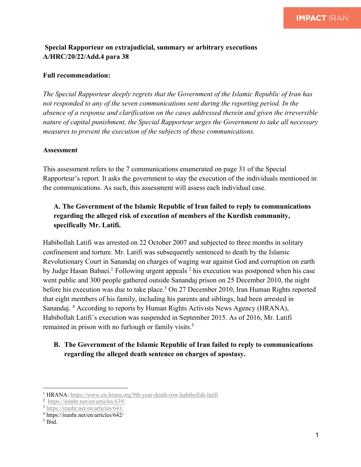## **Special Rapporteur on extrajudicial, summary or arbitrary executions A/HRC/20/22/Add.4 para 38**

#### **Full recommendation:**

*The Special Rapporteur deeply regrets that the Government of the Islamic Republic of Iran has not responded to any of the seven communications sent during the reporting period. In the absence of a response and clarification on the cases addressed therein and given the irreversible nature of capital punishment, the Special Rapporteur urges the Government to take all necessary measures to prevent the execution of the subjects of these communications.*

#### **Assessment**

This assessment refers to the 7 communications enumerated on page 31 of the Special Rapporteur's report. It asks the government to stay the execution of the individuals mentioned in the communications. As such, this assessment will assess each individual case.

# **A. The Government of the Islamic Republic of Iran failed to reply to communications regarding the alleged risk of execution of members of the Kurdish community, specifically Mr. Latifi.**

Habibollah Latifi was arrested on 22 October 2007 and subjected to three months in solitary confinement and torture. Mr. Latifi was subsequently sentenced to death by the Islamic Revolutionary Court in Sanandaj on charges of waging war against God and corruption on earth by Judge Hasan Babaei.<sup>1</sup> Following urgent appeals  $2$  his execution was postponed when his case went public and 300 people gathered outside Sanandaj prison on 25 December 2010, the night before his execution was due to take place.<sup>3</sup> On 27 December 2010, Iran Human Rights reported that eight members of his family, including his parents and siblings, had been arrested in Sanandaj. <sup>4</sup> According to reports by Human Rights Activists News Agency (HRANA), Habibollah Latifi's execution was suspended in September 2015. As of 2016, Mr. Latifi remained in prison with no furlough or family visits.<sup>5</sup>

## **B. The Government of the Islamic Republic of Iran failed to reply to communications regarding the alleged death sentence on charges of apostasy.**

<sup>&</sup>lt;sup>1</sup> HRANA: https://www.en-hrana.org/9th-year-death-row-habibollah-latifi

<sup>2</sup> https://iranhr.net/en/articles/639/

<sup>3</sup> https://iranhr.net/en/articles/641/

<sup>4</sup> https://iranhr.net/en/articles/642/

 $<sup>5</sup>$  Ibid.</sup>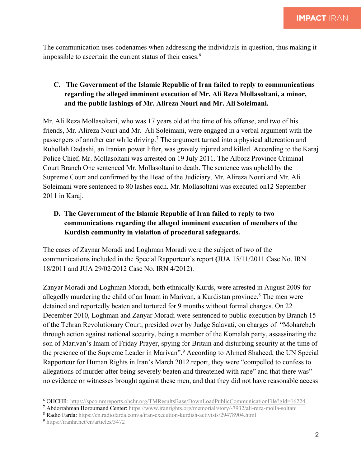The communication uses codenames when addressing the individuals in question, thus making it impossible to ascertain the current status of their cases.<sup>6</sup>

## **C. The Government of the Islamic Republic of Iran failed to reply to communications regarding the alleged imminent execution of Mr. Ali Reza Mollasoltani, a minor, and the public lashings of Mr. Alireza Nouri and Mr. Ali Soleimani.**

Mr. Ali Reza Mollasoltani, who was 17 years old at the time of his offense, and two of his friends, Mr. Alireza Nouri and Mr. Ali Soleimani, were engaged in a verbal argument with the passengers of another car while driving.<sup>7</sup> The argument turned into a physical altercation and Ruhollah Dadashi, an Iranian power lifter, was gravely injured and killed. According to the Karaj Police Chief, Mr. Mollasoltani was arrested on 19 July 2011. The Alborz Province Criminal Court Branch One sentenced Mr. Mollasoltani to death. The sentence was upheld by the Supreme Court and confirmed by the Head of the Judiciary. Mr. Alireza Nouri and Mr. Ali Soleimani were sentenced to 80 lashes each. Mr. Mollasoltani was executed on12 September 2011 in Karaj.

## **D. The Government of the Islamic Republic of Iran failed to reply to two communications regarding the alleged imminent execution of members of the Kurdish community in violation of procedural safeguards.**

The cases of Zaynar Moradi and Loghman Moradi were the subject of two of the communications included in the Special Rapporteur's report **(**JUA 15/11/2011 Case No. IRN 18/2011 and JUA 29/02/2012 Case No. IRN 4/2012).

Zanyar Moradi and Loghman Moradi, both ethnically Kurds, were arrested in August 2009 for allegedly murdering the child of an Imam in Marivan, a Kurdistan province.<sup>8</sup> The men were detained and reportedly beaten and tortured for 9 months without formal charges. On 22 December 2010, Loghman and Zanyar Moradi were sentenced to public execution by Branch 15 of the Tehran Revolutionary Court, presided over by Judge Salavati, on charges of "Moharebeh through action against national security, being a member of the Komalah party, assassinating the son of Marivan's Imam of Friday Prayer, spying for Britain and disturbing security at the time of the presence of the Supreme Leader in Marivan". <sup>9</sup> According to Ahmed Shaheed, the UN Special Rapporteur for Human Rights in Iran's March 2012 report, they were "compelled to confess to allegations of murder after being severely beaten and threatened with rape" and that there was" no evidence or witnesses brought against these men, and that they did not have reasonable access

<sup>6</sup> OHCHR: https://spcommreports.ohchr.org/TMResultsBase/DownLoadPublicCommunicationFile?gId=16224

<sup>7</sup> Abdorrahman Boroumand Center: https://www.iranrights.org/memorial/story/-7932/ali-reza-molla-soltani

<sup>8</sup> Radio Farda: https://en.radiofarda.com/a/iran-execution-kurdish-activists/29478904.html

<sup>9</sup> https://iranhr.net/en/articles/3472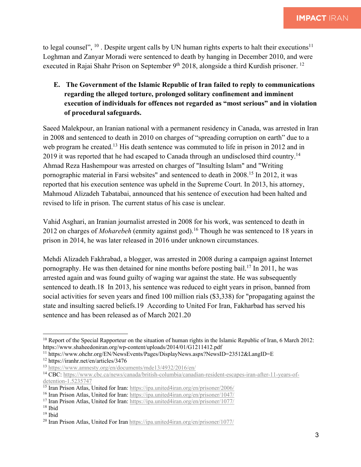to legal counsel",  $^{10}$ . Despite urgent calls by UN human rights experts to halt their executions<sup>11</sup> Loghman and Zanyar Moradi were sentenced to death by hanging in December 2010, and were executed in Rajai Shahr Prison on September  $9<sup>th</sup> 2018$ , alongside a third Kurdish prisoner. <sup>12</sup>

## **E. The Government of the Islamic Republic of Iran failed to reply to communications regarding the alleged torture, prolonged solitary confinement and imminent execution of individuals for offences not regarded as "most serious" and in violation of procedural safeguards.**

Saeed Malekpour, an Iranian national with a permanent residency in Canada, was arrested in Iran in 2008 and sentenced to death in 2010 on charges of "spreading corruption on earth" due to a web program he created.<sup>13</sup> His death sentence was commuted to life in prison in 2012 and in 2019 it was reported that he had escaped to Canada through an undisclosed third country.<sup>14</sup> Ahmad Reza Hashempour was arrested on charges of "Insulting Islam" and "Writing pornographic material in Farsi websites" and sentenced to death in 2008.15 In 2012, it was reported that his execution sentence was upheld in the Supreme Court. In 2013, his attorney, Mahmoud Alizadeh Tabatabai, announced that his sentence of execution had been halted and revised to life in prison. The current status of his case is unclear.

Vahid Asghari, an Iranian journalist arrested in 2008 for his work, was sentenced to death in 2012 on charges of *Moharebeh* (enmity against god).16 Though he was sentenced to 18 years in prison in 2014, he was later released in 2016 under unknown circumstances.

Mehdi Alizadeh Fakhrabad, a blogger, was arrested in 2008 during a campaign against Internet pornography. He was then detained for nine months before posting bail. <sup>17</sup> In 2011, he was arrested again and was found guilty of waging war against the state. He was subsequently sentenced to death.18 In 2013, his sentence was reduced to eight years in prison, banned from social activities for seven years and fined 100 million rials (\$3,338) for "propagating against the state and insulting sacred beliefs.19 According to United For Iran, Fakharbad has served his sentence and has been released as of March 2021.20

 $10$  Report of the Special Rapporteur on the situation of human rights in the Islamic Republic of Iran, 6 March 2012: https://www.shaheedoniran.org/wp-content/uploads/2014/01/G1211412.pdf

<sup>&</sup>lt;sup>11</sup> https://www.ohchr.org/EN/NewsEvents/Pages/DisplayNews.aspx?NewsID=23512&LangID=E

<sup>12</sup> https://iranhr.net/en/articles/3476

<sup>13</sup> https://www.amnesty.org/en/documents/mde13/4932/2016/en/

<sup>14</sup> CBC: https://www.cbc.ca/news/canada/british-columbia/canadian-resident-escapes-iran-after-11-years-ofdetention-1.5235747

<sup>&</sup>lt;sup>15</sup> Iran Prison Atlas, United for Iran: https://ipa.united4iran.org/en/prisoner/2006/

<sup>16</sup> Iran Prison Atlas, United for Iran: https://ipa.united4iran.org/en/prisoner/1047/

<sup>17</sup> Iran Prison Atlas, United for Iran: https://ipa.united4iran.org/en/prisoner/1077/

<sup>18</sup> Ibid

 $19$  Ibid

<sup>20</sup> Iran Prison Atlas, United For Iran https://ipa.united4iran.org/en/prisoner/1077/